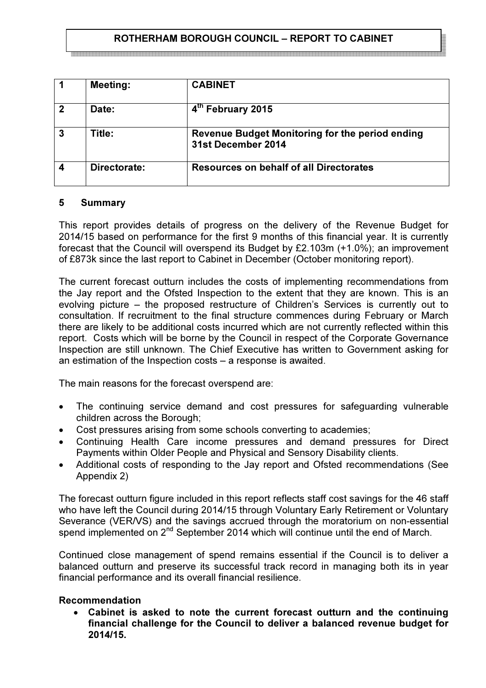# ROTHERHAM BOROUGH COUNCIL – REPORT TO CABINET

|   | <b>Meeting:</b> | <b>CABINET</b>                                                               |
|---|-----------------|------------------------------------------------------------------------------|
|   | Date:           | 4th February 2015                                                            |
| 3 | Title:          | <b>Revenue Budget Monitoring for the period ending</b><br>31st December 2014 |
|   | Directorate:    | <b>Resources on behalf of all Directorates</b>                               |

### 5 Summary

This report provides details of progress on the delivery of the Revenue Budget for 2014/15 based on performance for the first 9 months of this financial year. It is currently forecast that the Council will overspend its Budget by £2.103m (+1.0%); an improvement of £873k since the last report to Cabinet in December (October monitoring report).

The current forecast outturn includes the costs of implementing recommendations from the Jay report and the Ofsted Inspection to the extent that they are known. This is an evolving picture – the proposed restructure of Children's Services is currently out to consultation. If recruitment to the final structure commences during February or March there are likely to be additional costs incurred which are not currently reflected within this report. Costs which will be borne by the Council in respect of the Corporate Governance Inspection are still unknown. The Chief Executive has written to Government asking for an estimation of the Inspection costs – a response is awaited.

The main reasons for the forecast overspend are:

- The continuing service demand and cost pressures for safeguarding vulnerable children across the Borough;
- Cost pressures arising from some schools converting to academies;
- Continuing Health Care income pressures and demand pressures for Direct Payments within Older People and Physical and Sensory Disability clients.
- Additional costs of responding to the Jay report and Ofsted recommendations (See Appendix 2)

The forecast outturn figure included in this report reflects staff cost savings for the 46 staff who have left the Council during 2014/15 through Voluntary Early Retirement or Voluntary Severance (VER/VS) and the savings accrued through the moratorium on non-essential spend implemented on 2<sup>nd</sup> September 2014 which will continue until the end of March.

Continued close management of spend remains essential if the Council is to deliver a balanced outturn and preserve its successful track record in managing both its in year financial performance and its overall financial resilience.

### Recommendation

Cabinet is asked to note the current forecast outturn and the continuing financial challenge for the Council to deliver a balanced revenue budget for 2014/15.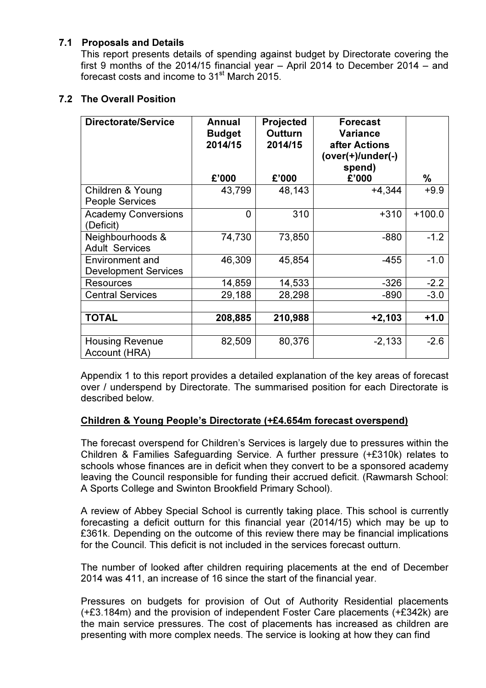## 7.1 Proposals and Details

This report presents details of spending against budget by Directorate covering the first 9 months of the 2014/15 financial year – April 2014 to December 2014 – and forecast costs and income to 31<sup>st</sup> March 2015.

# 7.2 The Overall Position

| Directorate/Service                                   | Annual<br><b>Budget</b><br>2014/15 | <b>Projected</b><br><b>Outturn</b><br>2014/15 | <b>Forecast</b><br><b>Variance</b><br>after Actions<br>$(over(+)/under(-))$<br>spend) |          |
|-------------------------------------------------------|------------------------------------|-----------------------------------------------|---------------------------------------------------------------------------------------|----------|
|                                                       | £'000                              | £'000                                         | £'000                                                                                 | ℅        |
| Children & Young<br><b>People Services</b>            | 43,799                             | 48,143                                        | $+4,344$                                                                              | $+9.9$   |
| <b>Academy Conversions</b><br>(Deficit)               | 0                                  | 310                                           | $+310$                                                                                | $+100.0$ |
| Neighbourhoods &<br><b>Adult Services</b>             | 74,730                             | 73,850                                        | $-880$                                                                                | $-1.2$   |
| <b>Environment and</b><br><b>Development Services</b> | 46,309                             | 45,854                                        | $-455$                                                                                | $-1.0$   |
| <b>Resources</b>                                      | 14,859                             | 14,533                                        | $-326$                                                                                | $-2.2$   |
| <b>Central Services</b>                               | 29,188                             | 28,298                                        | $-890$                                                                                | $-3.0$   |
|                                                       |                                    |                                               |                                                                                       |          |
| <b>TOTAL</b>                                          | 208,885                            | 210,988                                       | $+2,103$                                                                              | $+1.0$   |
|                                                       |                                    |                                               |                                                                                       |          |
| <b>Housing Revenue</b><br>Account (HRA)               | 82,509                             | 80,376                                        | $-2,133$                                                                              | $-2.6$   |

 Appendix 1 to this report provides a detailed explanation of the key areas of forecast over / underspend by Directorate. The summarised position for each Directorate is described below.

# Children & Young People's Directorate (+£4.654m forecast overspend)

The forecast overspend for Children's Services is largely due to pressures within the Children & Families Safeguarding Service. A further pressure (+£310k) relates to schools whose finances are in deficit when they convert to be a sponsored academy leaving the Council responsible for funding their accrued deficit. (Rawmarsh School: A Sports College and Swinton Brookfield Primary School).

A review of Abbey Special School is currently taking place. This school is currently forecasting a deficit outturn for this financial year (2014/15) which may be up to £361k. Depending on the outcome of this review there may be financial implications for the Council. This deficit is not included in the services forecast outturn.

The number of looked after children requiring placements at the end of December 2014 was 411, an increase of 16 since the start of the financial year.

Pressures on budgets for provision of Out of Authority Residential placements (+£3.184m) and the provision of independent Foster Care placements (+£342k) are the main service pressures. The cost of placements has increased as children are presenting with more complex needs. The service is looking at how they can find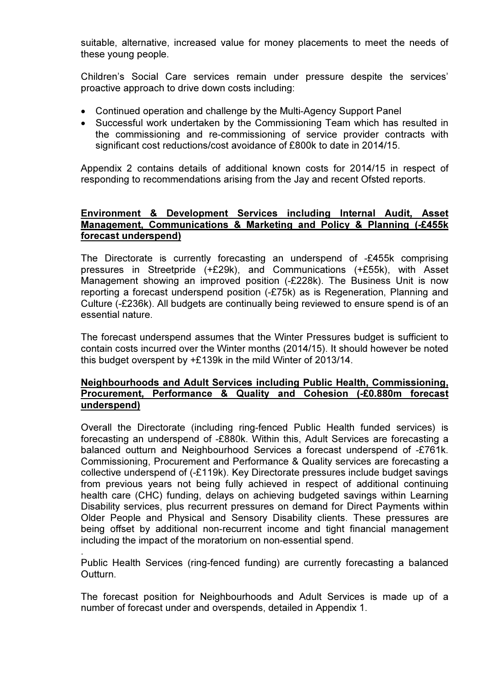suitable, alternative, increased value for money placements to meet the needs of these young people.

Children's Social Care services remain under pressure despite the services' proactive approach to drive down costs including:

- Continued operation and challenge by the Multi-Agency Support Panel
- Successful work undertaken by the Commissioning Team which has resulted in the commissioning and re-commissioning of service provider contracts with significant cost reductions/cost avoidance of £800k to date in 2014/15.

Appendix 2 contains details of additional known costs for 2014/15 in respect of responding to recommendations arising from the Jay and recent Ofsted reports.

### Environment & Development Services including Internal Audit, Asset Management, Communications & Marketing and Policy & Planning (-£455k forecast underspend)

 The Directorate is currently forecasting an underspend of -£455k comprising pressures in Streetpride (+£29k), and Communications (+£55k), with Asset Management showing an improved position (-£228k). The Business Unit is now reporting a forecast underspend position (-£75k) as is Regeneration, Planning and Culture (-£236k). All budgets are continually being reviewed to ensure spend is of an essential nature.

The forecast underspend assumes that the Winter Pressures budget is sufficient to contain costs incurred over the Winter months (2014/15). It should however be noted this budget overspent by +£139k in the mild Winter of 2013/14.

### Neighbourhoods and Adult Services including Public Health, Commissioning, Procurement, Performance & Quality and Cohesion (-£0.880m forecast underspend)

Overall the Directorate (including ring-fenced Public Health funded services) is forecasting an underspend of -£880k. Within this, Adult Services are forecasting a balanced outturn and Neighbourhood Services a forecast underspend of -£761k. Commissioning, Procurement and Performance & Quality services are forecasting a collective underspend of (-£119k). Key Directorate pressures include budget savings from previous years not being fully achieved in respect of additional continuing health care (CHC) funding, delays on achieving budgeted savings within Learning Disability services, plus recurrent pressures on demand for Direct Payments within Older People and Physical and Sensory Disability clients. These pressures are being offset by additional non-recurrent income and tight financial management including the impact of the moratorium on non-essential spend.

. Public Health Services (ring-fenced funding) are currently forecasting a balanced Outturn.

The forecast position for Neighbourhoods and Adult Services is made up of a number of forecast under and overspends, detailed in Appendix 1.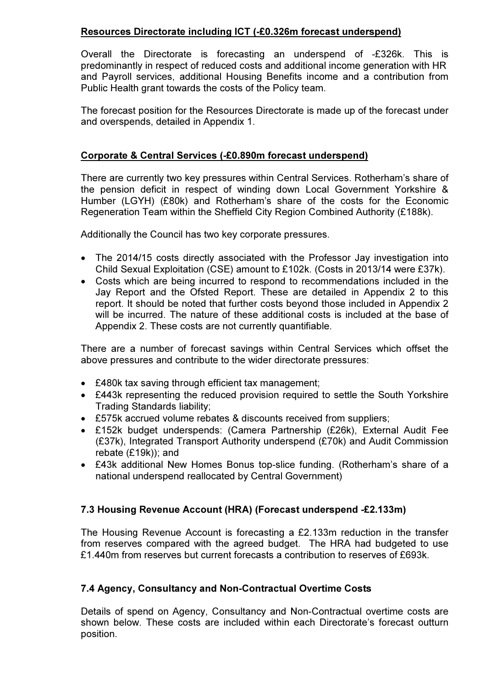# Resources Directorate including ICT (-£0.326m forecast underspend)

Overall the Directorate is forecasting an underspend of -£326k. This is predominantly in respect of reduced costs and additional income generation with HR and Payroll services, additional Housing Benefits income and a contribution from Public Health grant towards the costs of the Policy team.

The forecast position for the Resources Directorate is made up of the forecast under and overspends, detailed in Appendix 1.

# Corporate & Central Services (-£0.890m forecast underspend)

There are currently two key pressures within Central Services. Rotherham's share of the pension deficit in respect of winding down Local Government Yorkshire & Humber (LGYH) (£80k) and Rotherham's share of the costs for the Economic Regeneration Team within the Sheffield City Region Combined Authority (£188k).

Additionally the Council has two key corporate pressures.

- The 2014/15 costs directly associated with the Professor Jay investigation into Child Sexual Exploitation (CSE) amount to £102k. (Costs in 2013/14 were £37k).
- Costs which are being incurred to respond to recommendations included in the Jay Report and the Ofsted Report. These are detailed in Appendix 2 to this report. It should be noted that further costs beyond those included in Appendix 2 will be incurred. The nature of these additional costs is included at the base of Appendix 2. These costs are not currently quantifiable.

There are a number of forecast savings within Central Services which offset the above pressures and contribute to the wider directorate pressures:

- £480k tax saving through efficient tax management;
- £443k representing the reduced provision required to settle the South Yorkshire Trading Standards liability;
- £575k accrued volume rebates & discounts received from suppliers;
- £152k budget underspends: (Camera Partnership (£26k), External Audit Fee (£37k), Integrated Transport Authority underspend (£70k) and Audit Commission rebate (£19k)); and
- £43k additional New Homes Bonus top-slice funding. (Rotherham's share of a national underspend reallocated by Central Government)

# 7.3 Housing Revenue Account (HRA) (Forecast underspend -£2.133m)

The Housing Revenue Account is forecasting a £2.133m reduction in the transfer from reserves compared with the agreed budget. The HRA had budgeted to use £1.440m from reserves but current forecasts a contribution to reserves of £693k.

# 7.4 Agency, Consultancy and Non-Contractual Overtime Costs

Details of spend on Agency, Consultancy and Non-Contractual overtime costs are shown below. These costs are included within each Directorate's forecast outturn position.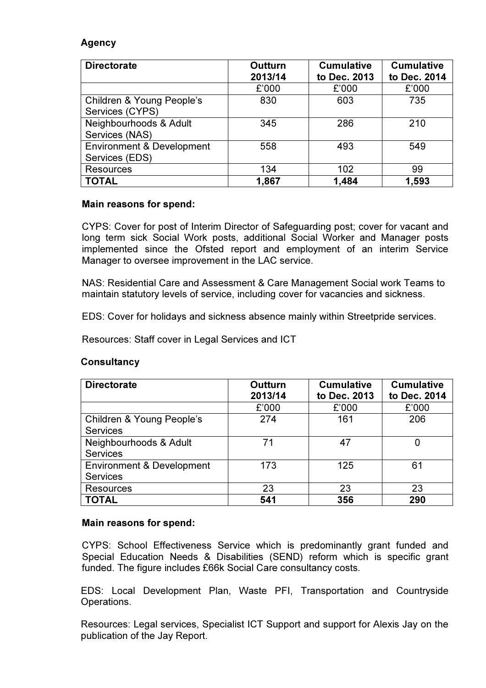### Agency

| <b>Directorate</b>                                     | <b>Outturn</b><br>2013/14 | <b>Cumulative</b><br>to Dec. 2013 | <b>Cumulative</b><br>to Dec. 2014 |
|--------------------------------------------------------|---------------------------|-----------------------------------|-----------------------------------|
|                                                        | £'000                     | £'000                             | £'000                             |
| Children & Young People's<br>Services (CYPS)           | 830                       | 603                               | 735                               |
| Neighbourhoods & Adult<br>Services (NAS)               | 345                       | 286                               | 210                               |
| <b>Environment &amp; Development</b><br>Services (EDS) | 558                       | 493                               | 549                               |
| <b>Resources</b>                                       | 134                       | 102                               | 99                                |
| <b>TOTAL</b>                                           | 1,867                     | 1,484                             | 1,593                             |

### Main reasons for spend:

CYPS: Cover for post of Interim Director of Safeguarding post; cover for vacant and long term sick Social Work posts, additional Social Worker and Manager posts implemented since the Ofsted report and employment of an interim Service Manager to oversee improvement in the LAC service.

NAS: Residential Care and Assessment & Care Management Social work Teams to maintain statutory levels of service, including cover for vacancies and sickness.

EDS: Cover for holidays and sickness absence mainly within Streetpride services.

Resources: Staff cover in Legal Services and ICT

### **Consultancy**

| <b>Directorate</b>                                      | <b>Outturn</b><br>2013/14 | <b>Cumulative</b><br>to Dec. 2013 | <b>Cumulative</b><br>to Dec. 2014 |
|---------------------------------------------------------|---------------------------|-----------------------------------|-----------------------------------|
|                                                         | £'000                     | £'000                             | £'000                             |
| Children & Young People's<br><b>Services</b>            | 274                       | 161                               | 206                               |
| Neighbourhoods & Adult<br><b>Services</b>               | 71                        | 47                                | 0                                 |
| <b>Environment &amp; Development</b><br><b>Services</b> | 173                       | 125                               | 61                                |
| <b>Resources</b>                                        | 23                        | 23                                | 23                                |
| <b>TOTAL</b>                                            | 541                       | 356                               | 290                               |

### Main reasons for spend:

CYPS: School Effectiveness Service which is predominantly grant funded and Special Education Needs & Disabilities (SEND) reform which is specific grant funded. The figure includes £66k Social Care consultancy costs.

EDS: Local Development Plan, Waste PFI, Transportation and Countryside Operations.

Resources: Legal services, Specialist ICT Support and support for Alexis Jay on the publication of the Jay Report.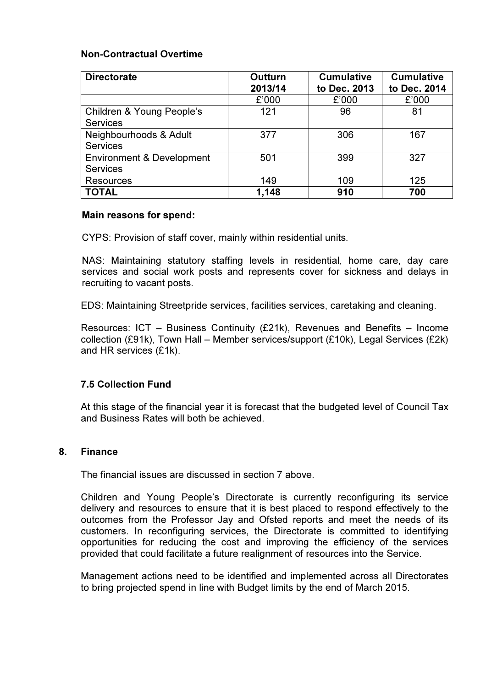### Non-Contractual Overtime

| <b>Directorate</b>                                      | <b>Outturn</b><br>2013/14 | <b>Cumulative</b><br>to Dec. 2013 | <b>Cumulative</b><br>to Dec. 2014 |
|---------------------------------------------------------|---------------------------|-----------------------------------|-----------------------------------|
|                                                         | £'000                     | £'000                             | £'000                             |
| Children & Young People's<br><b>Services</b>            | 121                       | 96                                | 81                                |
| Neighbourhoods & Adult<br><b>Services</b>               | 377                       | 306                               | 167                               |
| <b>Environment &amp; Development</b><br><b>Services</b> | 501                       | 399                               | 327                               |
| Resources                                               | 149                       | 109                               | 125                               |
| <b>TOTAL</b>                                            | 1,148                     | 910                               | 700                               |

#### Main reasons for spend:

CYPS: Provision of staff cover, mainly within residential units.

NAS: Maintaining statutory staffing levels in residential, home care, day care services and social work posts and represents cover for sickness and delays in recruiting to vacant posts.

EDS: Maintaining Streetpride services, facilities services, caretaking and cleaning.

Resources: ICT – Business Continuity (£21k), Revenues and Benefits – Income collection (£91k), Town Hall – Member services/support (£10k), Legal Services (£2k) and HR services (£1k).

### 7.5 Collection Fund

At this stage of the financial year it is forecast that the budgeted level of Council Tax and Business Rates will both be achieved.

### 8. Finance

The financial issues are discussed in section 7 above.

 Children and Young People's Directorate is currently reconfiguring its service delivery and resources to ensure that it is best placed to respond effectively to the outcomes from the Professor Jay and Ofsted reports and meet the needs of its customers. In reconfiguring services, the Directorate is committed to identifying opportunities for reducing the cost and improving the efficiency of the services provided that could facilitate a future realignment of resources into the Service.

Management actions need to be identified and implemented across all Directorates to bring projected spend in line with Budget limits by the end of March 2015.